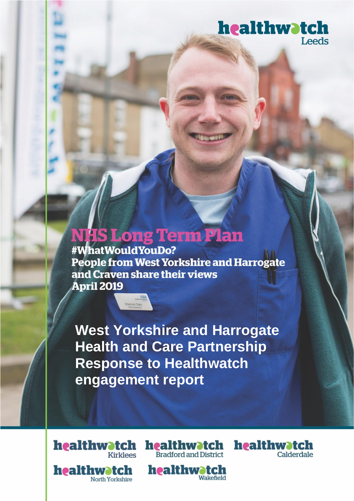## healthwatch Leeds

healthwatch

Calderdale

# **NHS Long Term Plan**

#WhatWouldYouDo? People from West Yorkshire and Harrogate and Craven share their views **April 2019** 

**West Yorkshire and Harrogate Health and Care Partnership Response to Healthwatch** engagement report



healthwatch **Bradford and District** 

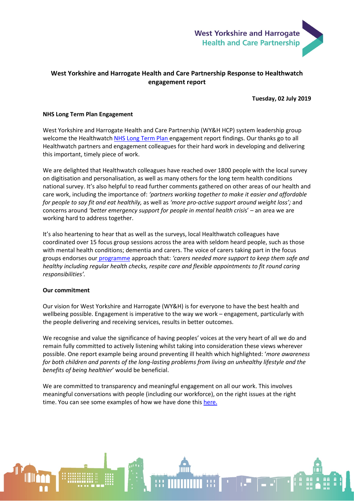

### **West Yorkshire and Harrogate Health and Care Partnership Response to Healthwatch engagement report**

**Tuesday, 02 July 2019**

#### **NHS Long Term Plan Engagement**

West Yorkshire and Harrogate Health and Care Partnership (WY&H HCP) system leadership group welcome the Healthwatch [NHS Long Term Plan e](https://www.england.nhs.uk/long-term-plan/)ngagement report findings. Our thanks go to all Healthwatch partners and engagement colleagues for their hard work in developing and delivering this important, timely piece of work.

We are delighted that Healthwatch colleagues have reached over 1800 people with the local survey on digitisation and personalisation, as well as many others for the long term health conditions national survey. It's also helpful to read further comments gathered on other areas of our health and care work, including the importance of: *'partners working together to make it easier and affordable for people to say fit and eat healthily,* as well as *'more pro-active support around weight loss';* and concerns around *'better emergency support for people in mental health crisi*s' – an area we are working hard to address together.

It's also heartening to hear that as well as the surveys, local Healthwatch colleagues have coordinated over 15 focus group sessions across the area with seldom heard people, such as those with mental health conditions; dementia and carers. The voice of carers taking part in the focus groups endorses our [programme](https://www.wyhpartnership.co.uk/our-priorities/unpaid-carers) approach that: *'carers needed more support to keep them safe and healthy including regular health checks, respite care and flexible appointments to fit round caring responsibilities'.* 

#### **Our commitment**

Our vision for West Yorkshire and Harrogate (WY&H) is for everyone to have the best health and wellbeing possible. Engagement is imperative to the way we work – engagement, particularly with the people delivering and receiving services, results in better outcomes.

We recognise and value the significance of having peoples' voices at the very heart of all we do and remain fully committed to actively listening whilst taking into consideration these views wherever possible. One report example being around preventing ill health which highlighted: '*more awareness for both children and parents of the long-lasting problems from living an unhealthy lifestyle and the benefits of being healthier*' would be beneficial.

We are committed to transparency and meaningful engagement on all our work. This involves meaningful conversations with people (including our workforce), on the right issues at the right time. You can see some examples of how we have done this [here.](https://www.wyhpartnership.co.uk/engagement-and-consultation)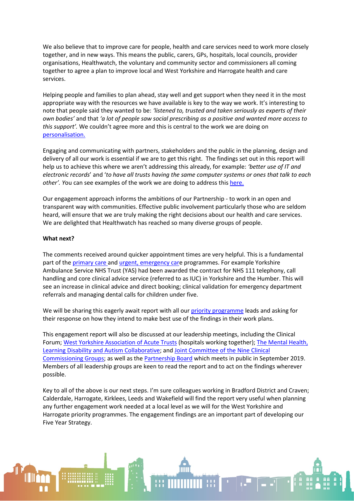We also believe that to improve care for people, health and care services need to work more closely together, and in new ways. This means the public, carers, GPs, hospitals, local councils, provider organisations, Healthwatch, the voluntary and community sector and commissioners all coming together to agree a plan to improve local and West Yorkshire and Harrogate health and care services.

Helping people and families to plan ahead, stay well and get support when they need it in the most appropriate way with the resources we have available is key to the way we work. It's interesting to note that people said they wanted to be: *'listened to, trusted and taken seriously as experts of their own bodies'* and that *'a lot of people saw social prescribing as a positive and wanted more access to this support'.* We couldn't agree more and this is central to the work we are doing on [personalisation.](https://www.wyhpartnership.co.uk/our-priorities/primary-and-community-care-services)

Engaging and communicating with partners, stakeholders and the public in the planning, design and delivery of all our work is essential if we are to get this right. The findings set out in this report will help us to achieve this where we aren't addressing this already, for example: *'better use of IT and electronic records*' and '*to have all trusts having the same computer systems or ones that talk to each other'. Y*ou can see examples of the work we are doing to address thi[s here.](https://www.wyhpartnership.co.uk/publications/difference-our-partnership-making)

Our engagement approach informs the ambitions of our Partnership - to work in an open and transparent way with communities. Effective public involvement particularly those who are seldom heard, will ensure that we are truly making the right decisions about our health and care services. We are delighted that Healthwatch has reached so many diverse groups of people.

#### **What next?**

The comments received around quicker appointment times are very helpful. This is a fundamental part of the [primary care a](https://www.wyhpartnership.co.uk/our-priorities/primary-and-community-care-services)n[d urgent, emergency care](https://www.wyhpartnership.co.uk/our-priorities/urgent-and-emergency-care) programmes. For example Yorkshire Ambulance Service NHS Trust (YAS) had been awarded the contract for NHS 111 telephony, call handling and core clinical advice service (referred to as IUC) in Yorkshire and the Humber. This will see an increase in clinical advice and direct booking; clinical validation for emergency department referrals and managing dental calls for children under five.

We will be sharing this eagerly await report with all ou[r priority programme](https://www.wyhpartnership.co.uk/) leads and asking for their response on how they intend to make best use of the findings in their work plans.

This engagement report will also be discussed at our leadership meetings, including the Clinical Forum[; West Yorkshire Association of Acute Trusts](https://www.wyhpartnership.co.uk/our-priorities/hospitals-working-together) (hospitals working together); [The Mental Health,](https://www.wyhpartnership.co.uk/our-priorities/mental-health)  [Learning Disability and Autism Collaborative;](https://www.wyhpartnership.co.uk/our-priorities/mental-health) an[d Joint Committee of the Nine Clinical](https://www.wyhpartnership.co.uk/meetings/west-yorkshire-harrogate-joint-committee-ccgs)  [Commissioning Groups;](https://www.wyhpartnership.co.uk/meetings/west-yorkshire-harrogate-joint-committee-ccgs) as well as th[e Partnership Board](https://www.wyhpartnership.co.uk/meetings/partnershipboard) which meets in public in September 2019. Members of all leadership groups are keen to read the report and to act on the findings wherever possible.

Key to all of the above is our next steps. I'm sure colleagues working in Bradford District and Craven; Calderdale, Harrogate, Kirklees, Leeds and Wakefield will find the report very useful when planning any further engagement work needed at a local level as we will for the West Yorkshire and Harrogate priority programmes. The engagement findings are an important part of developing our Five Year Strategy.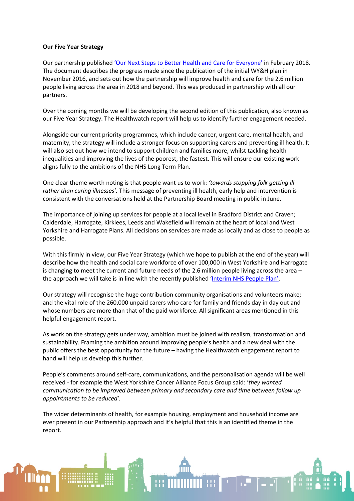#### **Our Five Year Strategy**

Our partnership published ['Our Next Steps to Better Health and Care for Everyone' i](http://www.wyhpartnership.co.uk/next-steps)n February 2018. The document describes the progress made since the publication of the initial WY&H plan in November 2016, and sets out how the partnership will improve health and care for the 2.6 million people living across the area in 2018 and beyond. This was produced in partnership with all our partners.

Over the coming months we will be developing the second edition of this publication, also known as our Five Year Strategy. The Healthwatch report will help us to identify further engagement needed.

Alongside our current priority programmes, which include cancer, urgent care, mental health, and maternity, the strategy will include a stronger focus on supporting carers and preventing ill health. It will also set out how we intend to support children and families more, whilst tackling health inequalities and improving the lives of the poorest, the fastest. This will ensure our existing work aligns fully to the ambitions of the NHS Long Term Plan.

One clear theme worth noting is that people want us to work: *'towards stopping folk getting ill rather than curing illnesses'.* This message of preventing ill health, early help and intervention is consistent with the conversations held at the Partnership Board meeting in public in June.

The importance of joining up services for people at a local level in Bradford District and Craven; Calderdale, Harrogate, Kirklees, Leeds and Wakefield will remain at the heart of local and West Yorkshire and Harrogate Plans. All decisions on services are made as locally and as close to people as possible.

With this firmly in view, our Five Year Strategy (which we hope to publish at the end of the year) will describe how the health and social care workforce of over 100,000 in West Yorkshire and Harrogate is changing to meet the current and future needs of the 2.6 million people living across the area – the approach we will take is in line with the recently published ['Interim NHS People Plan'.](https://www.longtermplan.nhs.uk/wp-content/uploads/2019/05/Interim-NHS-People-Plan_June2019.pdf)

Our strategy will recognise the huge contribution community organisations and volunteers make; and the vital role of the 260,000 unpaid carers who care for family and friends day in day out and whose numbers are more than that of the paid workforce. All significant areas mentioned in this helpful engagement report.

As work on the strategy gets under way, ambition must be joined with realism, transformation and sustainability. Framing the ambition around improving people's health and a new deal with the public offers the best opportunity for the future – having the Healthwatch engagement report to hand will help us develop this further.

People's comments around self-care, communications, and the personalisation agenda will be well received - for example the West Yorkshire Cancer Alliance Focus Group said: '*they wanted communication to be improved between primary and secondary care and time between follow up appointments to be reduced'.* 

The wider determinants of health, for example housing, employment and household income are ever present in our Partnership approach and it's helpful that this is an identified theme in the report.